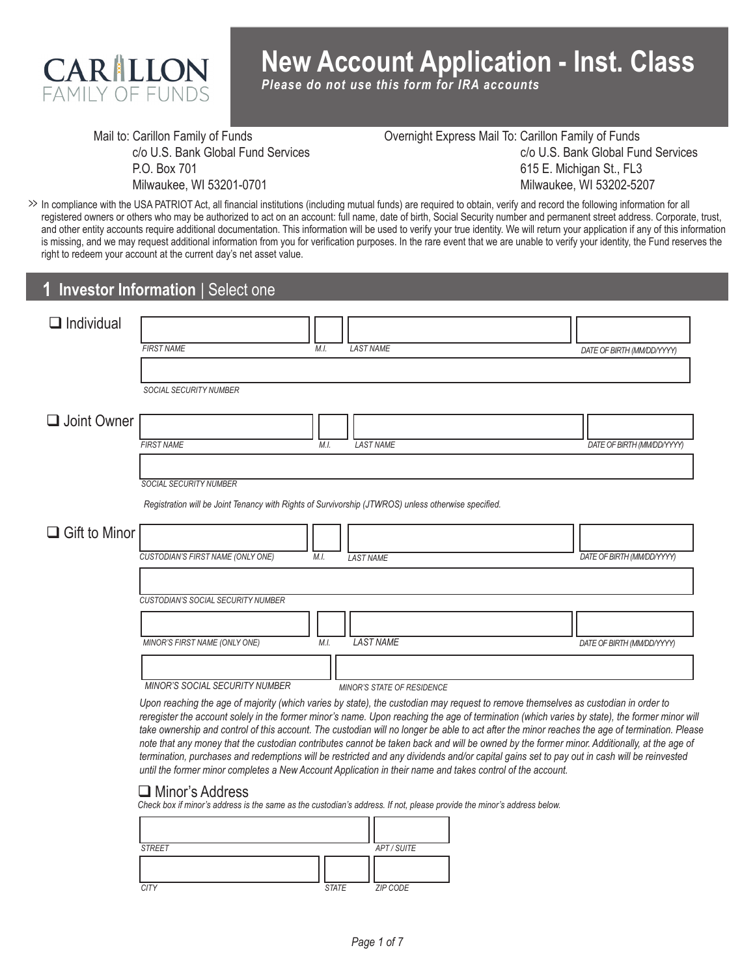

# **New Account Application - Inst. Class**

*Please do not use this form for IRA accounts*

Mail to: Carillon Family of Funds c/o U.S. Bank Global Fund Services P.O. Box 701 Milwaukee, WI 53201-0701

Overnight Express Mail To: Carillon Family of Funds c/o U.S. Bank Global Fund Services 615 E. Michigan St., FL3 Milwaukee, WI 53202-5207

In compliance with the USA PATRIOT Act, all financial institutions (including mutual funds) are required to obtain, verify and record the following information for all **>>** registered owners or others who may be authorized to act on an account: full name, date of birth, Social Security number and permanent street address. Corporate, trust, and other entity accounts require additional documentation. This information will be used to verify your true identity. We will return your application if any of this information is missing, and we may request additional information from you for verification purposes. In the rare event that we are unable to verify your identity, the Fund reserves the right to redeem your account at the current day's net asset value.

#### **Investor Information** | Select one **1**

| $\Box$ Individual    |                                                                                                     |      |                            |                            |
|----------------------|-----------------------------------------------------------------------------------------------------|------|----------------------------|----------------------------|
|                      | <b>FIRST NAME</b>                                                                                   | M.I. | <b>LAST NAME</b>           | DATE OF BIRTH (MM/DD/YYYY) |
|                      |                                                                                                     |      |                            |                            |
|                      | SOCIAL SECURITY NUMBER                                                                              |      |                            |                            |
| $\Box$ Joint Owner   |                                                                                                     |      |                            |                            |
|                      | <b>FIRST NAME</b>                                                                                   | M.I. | <b>LAST NAME</b>           | DATE OF BIRTH (MM/DD/YYYY) |
|                      |                                                                                                     |      |                            |                            |
|                      | <b>SOCIAL SECURITY NUMBER</b>                                                                       |      |                            |                            |
|                      | Registration will be Joint Tenancy with Rights of Survivorship (JTWROS) unless otherwise specified. |      |                            |                            |
| $\Box$ Gift to Minor |                                                                                                     |      |                            |                            |
|                      | CUSTODIAN'S FIRST NAME (ONLY ONE)                                                                   | M.I. | <b>LAST NAME</b>           | DATE OF BIRTH (MM/DD/YYYY) |
|                      |                                                                                                     |      |                            |                            |
|                      | CUSTODIAN'S SOCIAL SECURITY NUMBER                                                                  |      |                            |                            |
|                      |                                                                                                     |      |                            |                            |
|                      | MINOR'S FIRST NAME (ONLY ONE)                                                                       | M.I. | <b>LAST NAME</b>           | DATE OF BIRTH (MM/DD/YYYY) |
|                      |                                                                                                     |      |                            |                            |
|                      | MINOR'S SOCIAL SECURITY NUMBER                                                                      |      | MINOR'S STATE OF RESIDENCE |                            |

*Upon reaching the age of majority (which varies by state), the custodian may request to remove themselves as custodian in order to reregister the account solely in the former minor's name. Upon reaching the age of termination (which varies by state), the former minor will take ownership and control of this account. The custodian will no longer be able to act after the minor reaches the age of termination. Please note that any money that the custodian contributes cannot be taken back and will be owned by the former minor. Additionally, at the age of termination, purchases and redemptions will be restricted and any dividends and/or capital gains set to pay out in cash will be reinvested until the former minor completes a New Account Application in their name and takes control of the account.* 

#### **□** Minor's Address

*Check box if minor's address is the same as the custodian's address. If not, please provide the minor's address below.*

| <b>STREET</b> |              | APT/SUITE |
|---------------|--------------|-----------|
|               |              |           |
| <b>CITY</b>   | <b>STATE</b> | ZIP CODE  |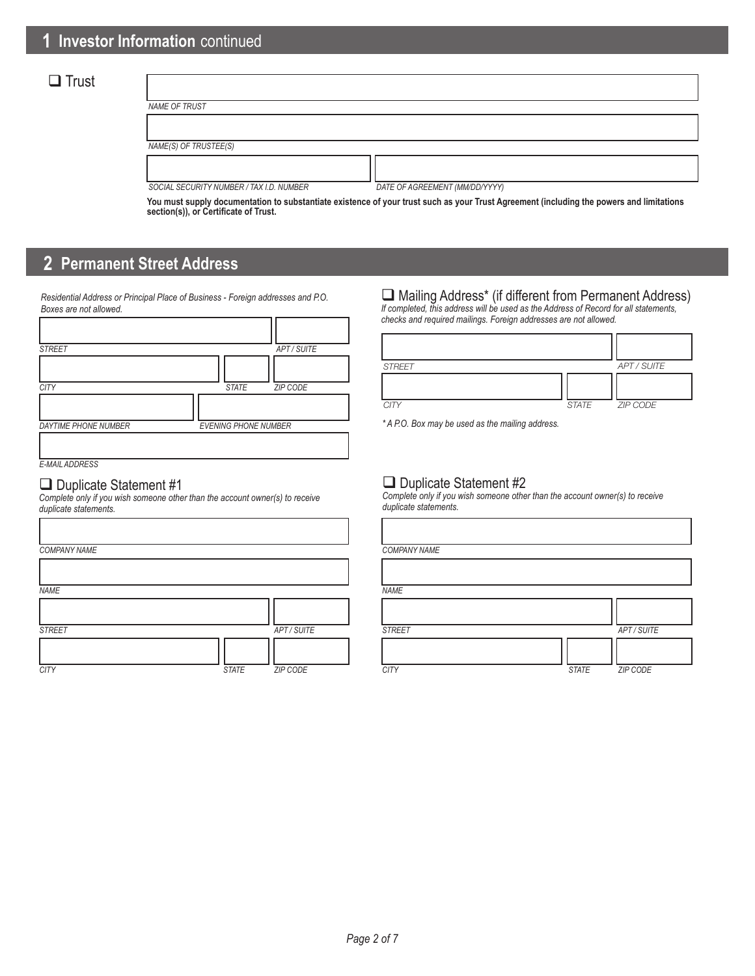### $\Box$  Trust

| NAME OF TRUST                            |                                |
|------------------------------------------|--------------------------------|
|                                          |                                |
| NAME(S) OF TRUSTEE(S)                    |                                |
|                                          |                                |
| SOCIAL SECURITY NUMBER / TAX I.D. NUMBER | DATE OF AGREEMENT (MM/DD/YYYY) |

**You must supply documentation to substantiate existence of your trust such as your Trust Agreement (including the powers and limitations section(s)), or Certificate of Trust.**

# **2 Permanent Street Address**

*Residential Address or Principal Place of Business - Foreign addresses and P.O. Boxes are not allowed.*

| <b>STREET</b>               | APT/SUITE                       |
|-----------------------------|---------------------------------|
|                             |                                 |
| <b>CITY</b>                 | <b>STATE</b><br><b>ZIP CODE</b> |
|                             |                                 |
| <b>DAYTIME PHONE NUMBER</b> | <b>EVENING PHONE NUMBER</b>     |
|                             |                                 |
| <b>E-MAIL ADDRESS</b>       |                                 |

#### $\Box$  Duplicate Statement #1

Г

*Complete only if you wish someone other than the account owner(s) to receive duplicate statements.*

| <b>COMPANY NAME</b> |              |             | <b>COMPAI</b> |
|---------------------|--------------|-------------|---------------|
|                     |              |             |               |
| <b>NAME</b>         |              |             | <b>NAME</b>   |
|                     |              |             |               |
| <b>STREET</b>       |              | APT / SUITE | <b>STREET</b> |
|                     |              |             |               |
| <b>CITY</b>         | <b>STATE</b> | ZIP CODE    | <b>CITY</b>   |

# Mailing Address\* (if different from Permanent Address)

*If completed, this address will be used as the Address of Record for all statements, checks and required mailings. Foreign addresses are not allowed.*

| <b>STREET</b> |       | APT / SUITE |
|---------------|-------|-------------|
|               |       |             |
| <b>CITY</b>   | STATE | ZIP CODE    |

*\* A P.O. Box may be used as the mailing address.*

#### Duplicate Statement #2

*Complete only if you wish someone other than the account owner(s) to receive duplicate statements.*

|              |             | <b>COMPANY NAME</b> |              |             |
|--------------|-------------|---------------------|--------------|-------------|
|              |             |                     |              |             |
|              |             | <b>NAME</b>         |              |             |
|              |             |                     |              |             |
|              | APT / SUITE | <b>STREET</b>       |              | APT / SUITE |
|              |             |                     |              |             |
| <b>STATE</b> | ZIP CODE    | <b>CITY</b>         | <b>STATE</b> | ZIP CODE    |

٦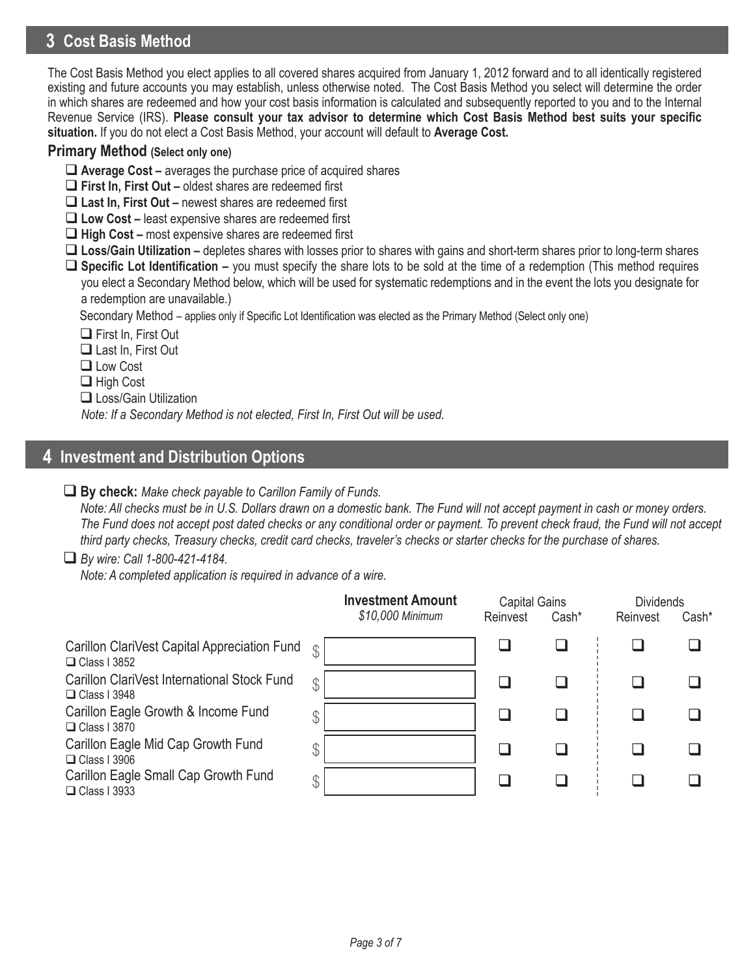# **3 Cost Basis Method**

The Cost Basis Method you elect applies to all covered shares acquired from January 1, 2012 forward and to all identically registered existing and future accounts you may establish, unless otherwise noted. The Cost Basis Method you select will determine the order in which shares are redeemed and how your cost basis information is calculated and subsequently reported to you and to the Internal Revenue Service (IRS). **Please consult your tax advisor to determine which Cost Basis Method best suits your specific situation.** If you do not elect a Cost Basis Method, your account will default to **Average Cost.**

#### **Primary Method (Select only one)**

- **Average Cost –** averages the purchase price of acquired shares
- **First In, First Out** oldest shares are redeemed first
- **Last In, First Out** newest shares are redeemed first
- **Low Cost –** least expensive shares are redeemed first
- **High Cost** most expensive shares are redeemed first
- **Loss/Gain Utilization –** depletes shares with losses prior to shares with gains and short-term shares prior to long-term shares
- **Specific Lot Identification** you must specify the share lots to be sold at the time of a redemption (This method requires you elect a Secondary Method below, which will be used for systematic redemptions and in the event the lots you designate for a redemption are unavailable.)

Secondary Method – applies only if Specific Lot Identification was elected as the Primary Method (Select only one)

- **□ First In, First Out**
- Last In, First Out
- **□** Low Cost
- □ High Cost
- □ Loss/Gain Utilization

*Note: If a Secondary Method is not elected, First In, First Out will be used.*

### **4 Investment and Distribution Options**

#### **By check:** *Make check payable to Carillon Family of Funds.*

*Note: All checks must be in U.S. Dollars drawn on a domestic bank. The Fund will not accept payment in cash or money orders. The Fund does not accept post dated checks or any conditional order or payment. To prevent check fraud, the Fund will not accept third party checks, Treasury checks, credit card checks, traveler's checks or starter checks for the purchase of shares.*

#### *By wire: Call 1-800-421-4184.*

*Note: A completed application is required in advance of a wire.*

|                                                                     |               | <b>Investment Amount</b><br>\$10,000 Minimum | <b>Capital Gains</b><br>Reinvest | Cash* | <b>Dividends</b><br>Reinvest | Cash* |
|---------------------------------------------------------------------|---------------|----------------------------------------------|----------------------------------|-------|------------------------------|-------|
| Carillon ClariVest Capital Appreciation Fund<br>$\Box$ Class I 3852 | $\mathcal{L}$ |                                              |                                  |       |                              |       |
| Carillon ClariVest International Stock Fund<br>$\Box$ Class I 3948  | $\mathcal{S}$ |                                              |                                  |       |                              |       |
| Carillon Eagle Growth & Income Fund<br>$\Box$ Class I 3870          | \$            |                                              |                                  |       |                              |       |
| Carillon Eagle Mid Cap Growth Fund<br>$\Box$ Class I 3906           | ጥ             |                                              |                                  |       |                              |       |
| Carillon Eagle Small Cap Growth Fund<br>$\Box$ Class I 3933         | $\mathcal{P}$ |                                              |                                  |       |                              |       |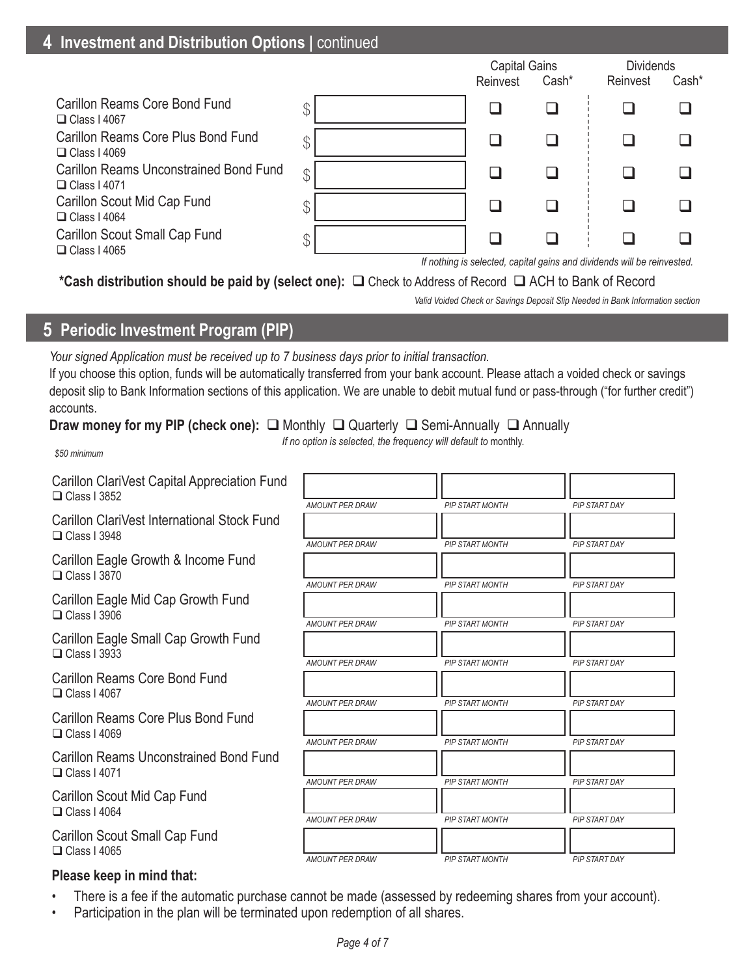### **4 Investment and Distribution Options | continued**

|                                                                      |               | <b>Capital Gains</b><br>Reinvest | Cash* | <b>Dividends</b><br>Reinvest                                            | Cash* |
|----------------------------------------------------------------------|---------------|----------------------------------|-------|-------------------------------------------------------------------------|-------|
| Carillon Reams Core Bond Fund<br>$\Box$ Class I 4067                 |               |                                  |       |                                                                         |       |
| <b>Carillon Reams Core Plus Bond Fund</b><br>$\Box$ Class I 4069     | \$            |                                  |       |                                                                         |       |
| <b>Carillon Reams Unconstrained Bond Fund</b><br>$\Box$ Class   4071 | $\mathcal{P}$ |                                  |       |                                                                         |       |
| Carillon Scout Mid Cap Fund<br>$\Box$ Class I 4064                   |               |                                  |       |                                                                         |       |
| Carillon Scout Small Cap Fund<br>$\Box$ Class I 4065                 |               |                                  |       |                                                                         |       |
|                                                                      |               |                                  |       | If nothing is selected, capital gains and dividends will be reinvested. |       |

\*Cash distribution should be paid by (select one): **□** Check to Address of Record □ ACH to Bank of Record

*Valid Voided Check or Savings Deposit Slip Needed in Bank Information section*

### **5 Periodic Investment Program (PIP)**

*Your signed Application must be received up to 7 business days prior to initial transaction.*

If you choose this option, funds will be automatically transferred from your bank account. Please attach a voided check or savings deposit slip to Bank Information sections of this application. We are unable to debit mutual fund or pass-through ("for further credit") accounts.

#### **Draw money for my PIP (check one):** □ Monthly □ Quarterly □ Semi-Annually □ Annually

*If no option is selected, the frequency will default to* monthly.

*\$50 minimum*

Carillon ClariVest Capital Appreciation Fund  $\Box$  Class I 3852

Carillon ClariVest International Stock Fund  $\Box$  Class I 3948

Carillon Eagle Growth & Income Fund  $\Box$  Class I 3870

Carillon Eagle Mid Cap Growth Fund  $\Box$  Class I 3906

Carillon Eagle Small Cap Growth Fund  $\Box$  Class I 3933

Carillon Reams Core Bond Fund  $\Box$  Class I 4067

Carillon Reams Core Plus Bond Fund  $\Box$  Class I 4069

Carillon Reams Unconstrained Bond Fund  $\Box$  Class I 4071

Carillon Scout Mid Cap Fund  $\Box$  Class I 4064

Carillon Scout Small Cap Fund  $\Box$  Class I 4065

#### **Please keep in mind that:**

| <b>AMOUNT PER DRAW</b> | <b>PIP START MONTH</b> | PIP START DAY        |
|------------------------|------------------------|----------------------|
| <b>AMOUNT PER DRAW</b> | <b>PIP START MONTH</b> | PIP START DAY        |
| <b>AMOUNT PER DRAW</b> | <b>PIP START MONTH</b> | <b>PIP START DAY</b> |
| <b>AMOUNT PER DRAW</b> | <b>PIP START MONTH</b> | <b>PIP START DAY</b> |
| <b>AMOUNT PER DRAW</b> | <b>PIP START MONTH</b> | <b>PIP START DAY</b> |
| <b>AMOUNT PER DRAW</b> | <b>PIP START MONTH</b> | PIP START DAY        |
| <b>AMOUNT PER DRAW</b> | <b>PIP START MONTH</b> | PIP START DAY        |
| <b>AMOUNT PER DRAW</b> | <b>PIP START MONTH</b> | <b>PIP START DAY</b> |
| <b>AMOUNT PER DRAW</b> | <b>PIP START MONTH</b> | <b>PIP START DAY</b> |
| <b>AMOUNT PER DRAW</b> | <b>PIP START MONTH</b> | PIP START DAY        |

- There is a fee if the automatic purchase cannot be made (assessed by redeeming shares from your account).
- Participation in the plan will be terminated upon redemption of all shares.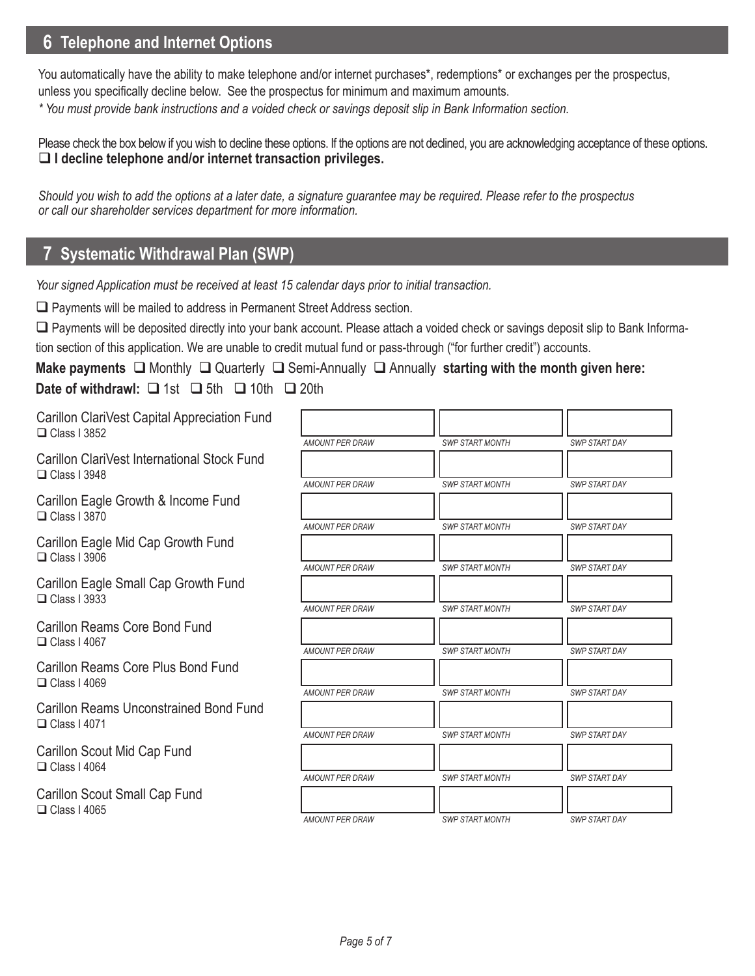# **6 6 Telephone and Internet Options**

You automatically have the ability to make telephone and/or internet purchases\*, redemptions\* or exchanges per the prospectus, unless you specifically decline below. See the prospectus for minimum and maximum amounts.

*\* You must provide bank instructions and a voided check or savings deposit slip in Bank Information section.* 

Please check the box below if you wish to decline these options. If the options are not declined, you are acknowledging acceptance of these options. **I decline telephone and/or internet transaction privileges.**

*Should you wish to add the options at a later date, a signature guarantee may be required. Please refer to the prospectus or call our shareholder services department for more information.*

# **7 Systematic Withdrawal Plan (SWP) 7 Systematic Withdrawal Plan (SWP)**

*Your signed Application must be received at least 15 calendar days prior to initial transaction.*

□ Payments will be mailed to address in Permanent Street Address section.

 Payments will be deposited directly into your bank account. Please attach a voided check or savings deposit slip to Bank Information section of this application. We are unable to credit mutual fund or pass-through ("for further credit") accounts.

**Make payments □** Monthly □ Quarterly □ Semi-Annually □ Annually starting with the month given here: **Date of withdrawl:**  $\Box$  1st  $\Box$  5th  $\Box$  10th  $\Box$  20th

Carillon ClariVest Capital Appreciation Fund  $\Box$  Class I 3852

Carillon ClariVest International Stock Fund  $\Box$  Class I 3948

Carillon Eagle Growth & Income Fund  $\Box$  Class I 3870

Carillon Eagle Mid Cap Growth Fund  $\Box$  Class I 3906

Carillon Eagle Small Cap Growth Fund  $\Box$  Class I 3933

Carillon Reams Core Bond Fund  $\Box$  Class I 4067

Carillon Reams Core Plus Bond Fund  $\Box$  Class I 4069

Carillon Reams Unconstrained Bond Fund  $\Box$  Class I 4071

Carillon Scout Mid Cap Fund  $\Box$  Class I 4064

Carillon Scout Small Cap Fund  $\Box$  Class I 4065

| AMOUNT PER DRAW        | <b>SWP START MONTH</b> | <b>SWP START DAY</b> |
|------------------------|------------------------|----------------------|
|                        |                        |                      |
| <b>AMOUNT PER DRAW</b> | <b>SWP START MONTH</b> | <b>SWP START DAY</b> |
| <b>AMOUNT PER DRAW</b> | <b>SWP START MONTH</b> | <b>SWP START DAY</b> |
| <b>AMOUNT PER DRAW</b> | <b>SWP START MONTH</b> | <b>SWP START DAY</b> |
| <b>AMOUNT PER DRAW</b> | <b>SWP START MONTH</b> | <b>SWP START DAY</b> |
| AMOUNT PER DRAW        | <b>SWP START MONTH</b> | <b>SWP START DAY</b> |
| AMOUNT PER DRAW        | <b>SWP START MONTH</b> | <b>SWP START DAY</b> |
| <b>AMOUNT PER DRAW</b> | <b>SWP START MONTH</b> | <b>SWP START DAY</b> |
| <b>AMOUNT PER DRAW</b> | <b>SWP START MONTH</b> | <b>SWP START DAY</b> |
| <b>AMOUNT PER DRAW</b> | <b>SWP START MONTH</b> | <b>SWP START DAY</b> |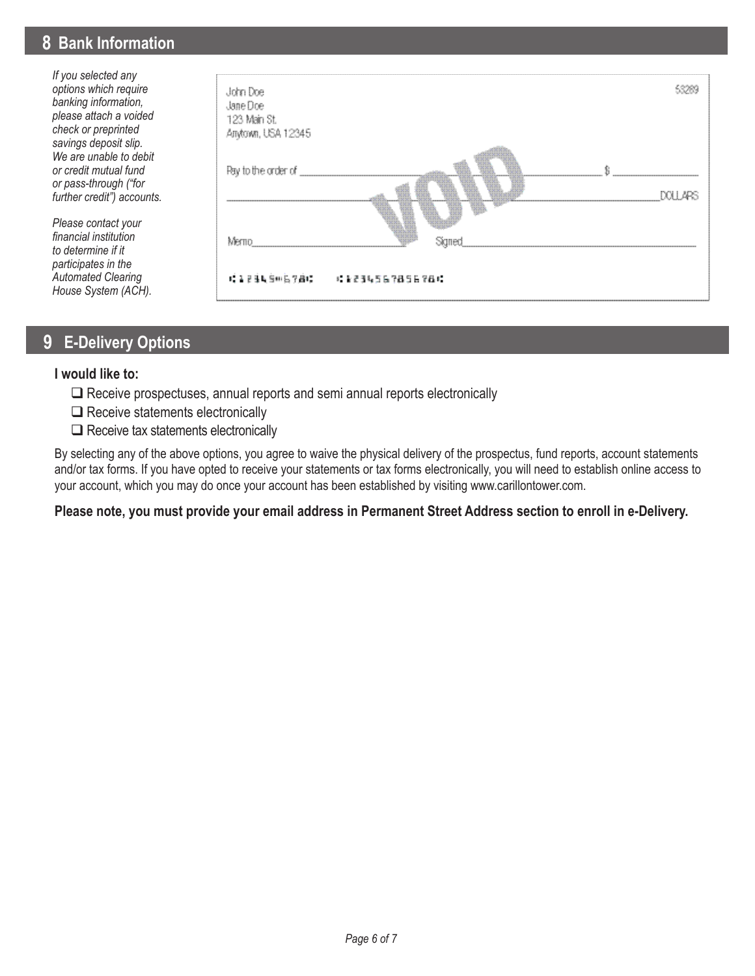### **8 Bank Information**

*If you selected any options which require banking information, please attach a voided check or preprinted savings deposit slip. We are unable to debit or credit mutual fund or pass-through ("for further credit") accounts.* 

*Please contact your financial institution to determine if it participates in the Automated Clearing House System (ACH).*



### **9 E-Delivery Options**

#### **I would like to:**

- $\Box$  Receive prospectuses, annual reports and semi annual reports electronically
- $\Box$  Receive statements electronically
- $\square$  Receive tax statements electronically

By selecting any of the above options, you agree to waive the physical delivery of the prospectus, fund reports, account statements and/or tax forms. If you have opted to receive your statements or tax forms electronically, you will need to establish online access to your account, which you may do once your account has been established by visiting www.carillontower.com.

#### **Please note, you must provide your email address in Permanent Street Address section to enroll in e-Delivery.**